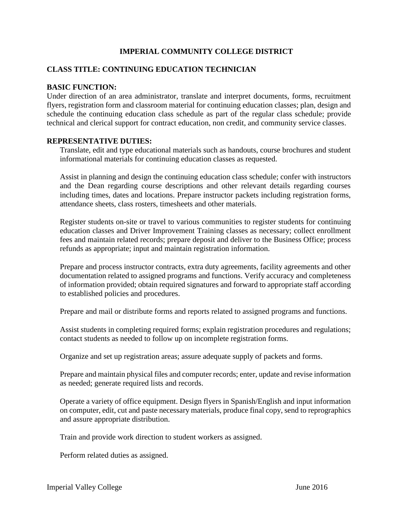# **IMPERIAL COMMUNITY COLLEGE DISTRICT**

# **CLASS TITLE: CONTINUING EDUCATION TECHNICIAN**

## **BASIC FUNCTION:**

Under direction of an area administrator, translate and interpret documents, forms, recruitment flyers, registration form and classroom material for continuing education classes; plan, design and schedule the continuing education class schedule as part of the regular class schedule; provide technical and clerical support for contract education, non credit, and community service classes.

#### **REPRESENTATIVE DUTIES:**

Translate, edit and type educational materials such as handouts, course brochures and student informational materials for continuing education classes as requested.

Assist in planning and design the continuing education class schedule; confer with instructors and the Dean regarding course descriptions and other relevant details regarding courses including times, dates and locations. Prepare instructor packets including registration forms, attendance sheets, class rosters, timesheets and other materials.

Register students on-site or travel to various communities to register students for continuing education classes and Driver Improvement Training classes as necessary; collect enrollment fees and maintain related records; prepare deposit and deliver to the Business Office; process refunds as appropriate; input and maintain registration information.

Prepare and process instructor contracts, extra duty agreements, facility agreements and other documentation related to assigned programs and functions. Verify accuracy and completeness of information provided; obtain required signatures and forward to appropriate staff according to established policies and procedures.

Prepare and mail or distribute forms and reports related to assigned programs and functions.

Assist students in completing required forms; explain registration procedures and regulations; contact students as needed to follow up on incomplete registration forms.

Organize and set up registration areas; assure adequate supply of packets and forms.

Prepare and maintain physical files and computer records; enter, update and revise information as needed; generate required lists and records.

Operate a variety of office equipment. Design flyers in Spanish/English and input information on computer, edit, cut and paste necessary materials, produce final copy, send to reprographics and assure appropriate distribution.

Train and provide work direction to student workers as assigned.

Perform related duties as assigned.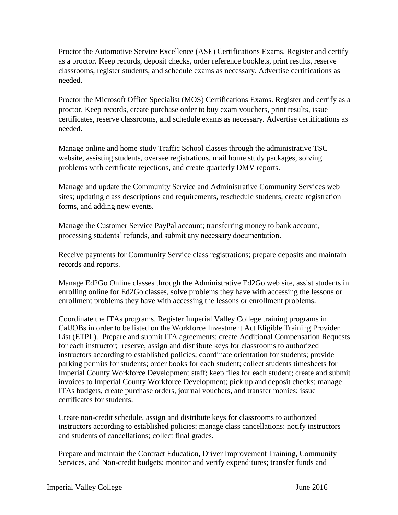Proctor the Automotive Service Excellence (ASE) Certifications Exams. Register and certify as a proctor. Keep records, deposit checks, order reference booklets, print results, reserve classrooms, register students, and schedule exams as necessary. Advertise certifications as needed.

Proctor the Microsoft Office Specialist (MOS) Certifications Exams. Register and certify as a proctor. Keep records, create purchase order to buy exam vouchers, print results, issue certificates, reserve classrooms, and schedule exams as necessary. Advertise certifications as needed.

Manage online and home study Traffic School classes through the administrative TSC website, assisting students, oversee registrations, mail home study packages, solving problems with certificate rejections, and create quarterly DMV reports.

Manage and update the Community Service and Administrative Community Services web sites; updating class descriptions and requirements, reschedule students, create registration forms, and adding new events.

Manage the Customer Service PayPal account; transferring money to bank account, processing students' refunds, and submit any necessary documentation.

Receive payments for Community Service class registrations; prepare deposits and maintain records and reports.

Manage Ed2Go Online classes through the Administrative Ed2Go web site, assist students in enrolling online for Ed2Go classes, solve problems they have with accessing the lessons or enrollment problems they have with accessing the lessons or enrollment problems.

Coordinate the ITAs programs. Register Imperial Valley College training programs in CalJOBs in order to be listed on the Workforce Investment Act Eligible Training Provider List (ETPL). Prepare and submit ITA agreements; create Additional Compensation Requests for each instructor; reserve, assign and distribute keys for classrooms to authorized instructors according to established policies; coordinate orientation for students; provide parking permits for students; order books for each student; collect students timesheets for Imperial County Workforce Development staff; keep files for each student; create and submit invoices to Imperial County Workforce Development; pick up and deposit checks; manage ITAs budgets, create purchase orders, journal vouchers, and transfer monies; issue certificates for students.

Create non-credit schedule, assign and distribute keys for classrooms to authorized instructors according to established policies; manage class cancellations; notify instructors and students of cancellations; collect final grades.

Prepare and maintain the Contract Education, Driver Improvement Training, Community Services, and Non-credit budgets; monitor and verify expenditures; transfer funds and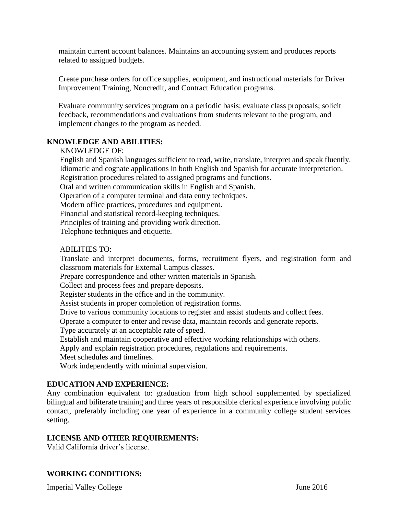maintain current account balances. Maintains an accounting system and produces reports related to assigned budgets.

Create purchase orders for office supplies, equipment, and instructional materials for Driver Improvement Training, Noncredit, and Contract Education programs.

Evaluate community services program on a periodic basis; evaluate class proposals; solicit feedback, recommendations and evaluations from students relevant to the program, and implement changes to the program as needed.

## **KNOWLEDGE AND ABILITIES:**

## KNOWLEDGE OF:

English and Spanish languages sufficient to read, write, translate, interpret and speak fluently. Idiomatic and cognate applications in both English and Spanish for accurate interpretation. Registration procedures related to assigned programs and functions.

Oral and written communication skills in English and Spanish.

Operation of a computer terminal and data entry techniques.

Modern office practices, procedures and equipment.

Financial and statistical record-keeping techniques.

Principles of training and providing work direction.

Telephone techniques and etiquette.

#### ABILITIES TO:

Translate and interpret documents, forms, recruitment flyers, and registration form and classroom materials for External Campus classes.

Prepare correspondence and other written materials in Spanish.

Collect and process fees and prepare deposits.

Register students in the office and in the community.

Assist students in proper completion of registration forms.

Drive to various community locations to register and assist students and collect fees.

Operate a computer to enter and revise data, maintain records and generate reports.

Type accurately at an acceptable rate of speed.

Establish and maintain cooperative and effective working relationships with others.

Apply and explain registration procedures, regulations and requirements.

Meet schedules and timelines.

Work independently with minimal supervision.

## **EDUCATION AND EXPERIENCE:**

Any combination equivalent to: graduation from high school supplemented by specialized bilingual and biliterate training and three years of responsible clerical experience involving public contact, preferably including one year of experience in a community college student services setting.

#### **LICENSE AND OTHER REQUIREMENTS:**

Valid California driver's license.

# **WORKING CONDITIONS:**

Imperial Valley College June 2016